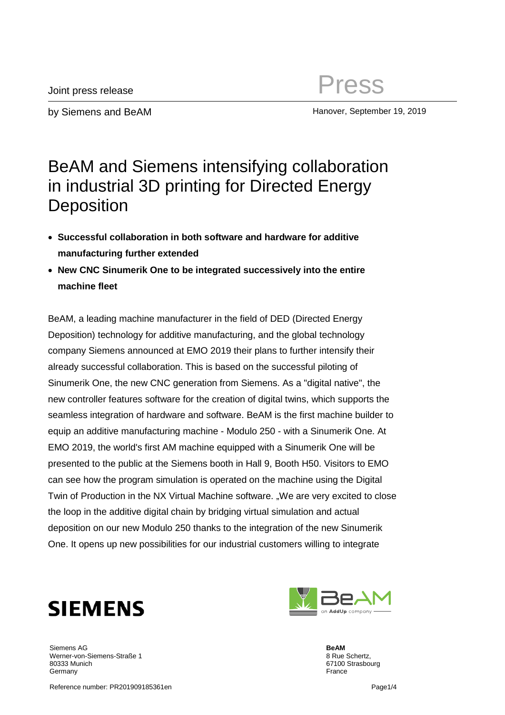by Siemens and BeAM Hanover, September 19, 2019

## BeAM and Siemens intensifying collaboration in industrial 3D printing for Directed Energy **Deposition**

- **Successful collaboration in both software and hardware for additive manufacturing further extended**
- **New CNC Sinumerik One to be integrated successively into the entire machine fleet**

BeAM, a leading machine manufacturer in the field of DED (Directed Energy Deposition) technology for additive manufacturing, and the global technology company Siemens announced at EMO 2019 their plans to further intensify their already successful collaboration. This is based on the successful piloting of Sinumerik One, the new CNC generation from Siemens. As a "digital native", the new controller features software for the creation of digital twins, which supports the seamless integration of hardware and software. BeAM is the first machine builder to equip an additive manufacturing machine - Modulo 250 - with a Sinumerik One. At EMO 2019, the world's first AM machine equipped with a Sinumerik One will be presented to the public at the Siemens booth in Hall 9, Booth H50. Visitors to EMO can see how the program simulation is operated on the machine using the Digital Twin of Production in the NX Virtual Machine software. "We are very excited to close the loop in the additive digital chain by bridging virtual simulation and actual deposition on our new Modulo 250 thanks to the integration of the new Sinumerik One. It opens up new possibilities for our industrial customers willing to integrate



Siemens AG Werner-von-Siemens-Straße 1 80333 Munich Germany

**BeAM** 8 Rue Schertz, 67100 Strasbourg France

Reference number: PR201909185361en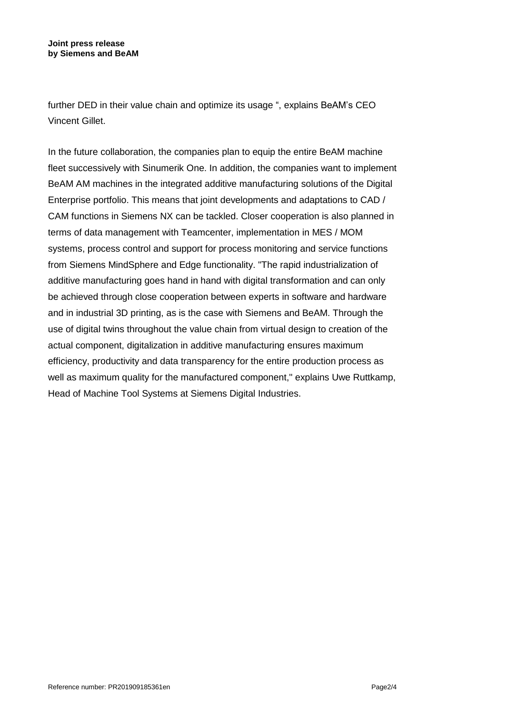further DED in their value chain and optimize its usage ", explains BeAM's CEO Vincent Gillet.

In the future collaboration, the companies plan to equip the entire BeAM machine fleet successively with Sinumerik One. In addition, the companies want to implement BeAM AM machines in the integrated additive manufacturing solutions of the Digital Enterprise portfolio. This means that joint developments and adaptations to CAD / CAM functions in Siemens NX can be tackled. Closer cooperation is also planned in terms of data management with Teamcenter, implementation in MES / MOM systems, process control and support for process monitoring and service functions from Siemens MindSphere and Edge functionality. "The rapid industrialization of additive manufacturing goes hand in hand with digital transformation and can only be achieved through close cooperation between experts in software and hardware and in industrial 3D printing, as is the case with Siemens and BeAM. Through the use of digital twins throughout the value chain from virtual design to creation of the actual component, digitalization in additive manufacturing ensures maximum efficiency, productivity and data transparency for the entire production process as well as maximum quality for the manufactured component," explains Uwe Ruttkamp, Head of Machine Tool Systems at Siemens Digital Industries.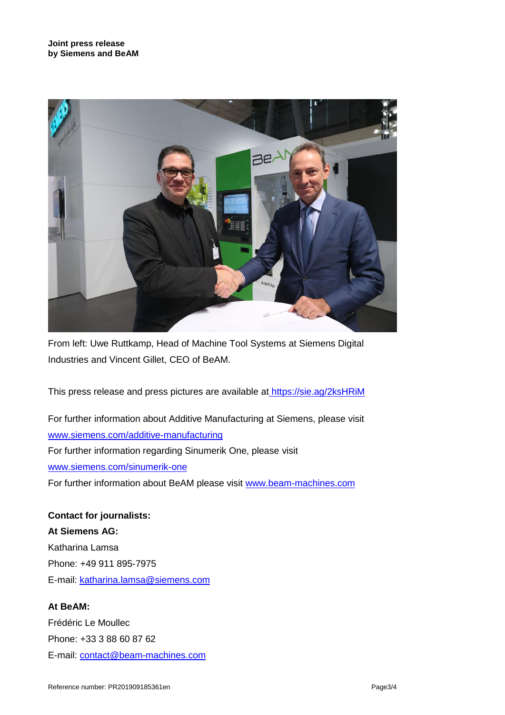

From left: Uwe Ruttkamp, Head of Machine Tool Systems at Siemens Digital Industries and Vincent Gillet, CEO of BeAM.

This press release and press pictures are available at <https://sie.ag/2ksHRiM>

For further information about Additive Manufacturing at Siemens, please visit [www.siemens.com/additive-manufacturing](http://www.siemens.com/additive-manufacturing) For further information regarding Sinumerik One, please visit [www.siemens.com/sinumerik-one](http://www.siemens.com/sinumerik-one) For further information about BeAM please visit [www.beam-machines.com](http://www.beam-machines.com/)

**Contact for journalists: At Siemens AG:** Katharina Lamsa Phone: +49 911 895-7975 E-mail: [katharina.lamsa@siemens.com](mailto:katharina.lamsa@siemens.com)

**At BeAM:**

Frédéric Le Moullec Phone: +33 3 88 60 87 62 E-mail: [contact@beam-machines.com](mailto:contact@beam-machines.com)